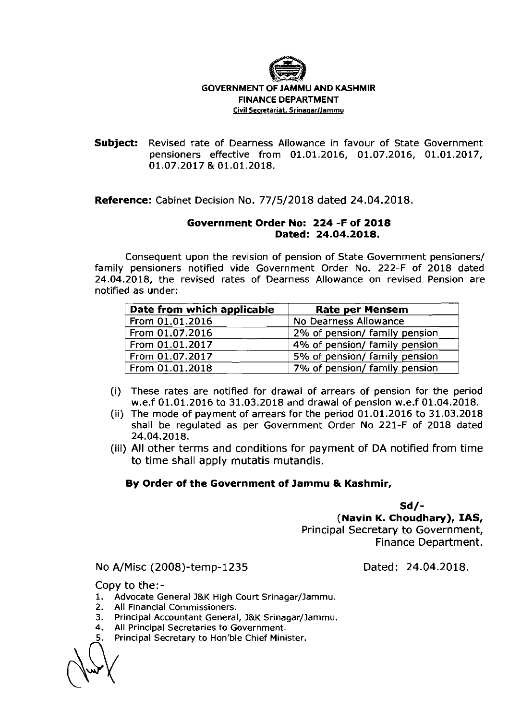

## GOVERNMENT OF JAMMU AND KASHMIR FINANCE DEPARTMENT **Civil Secretariat, Srinagar/Jammu**

**Subject:** Revised rate of Dearness Allowance in favour of State Government pensioners effective from 01.01.2016, 01.07.2016, 01.01.2017, 01.07.2017 & 01.01.2018.

**Reference:** Cabinet Decision NO. 77/5/2018 dated 24.04.2018.

## **Government Order No: 224 -F of 2018 Dated: 24.04.2018.**

Consequent upon the revision of pension of State Government pensioners/ family pensioners notified vide Government Order No. 222-F of 2018 dated 24.04.2018, the revised rates of Dearness Allowance on revised Pension are notified as under:

| Date from which applicable | <b>Rate per Mensem</b>        |
|----------------------------|-------------------------------|
| From 01.01.2016            | No Dearness Allowance         |
| From 01.07.2016            | 2% of pension/ family pension |
| From 01.01.2017            | 4% of pension/ family pension |
| From 01.07.2017            | 5% of pension/ family pension |
| From 01.01.2018            | 7% of pension/ family pension |

- (i) These rates are notified for drawal of arrears of pension for the period w.e.f 01.01.2016 to 31.03.2018 and drawal of pension w.e.f 01.04.2018.
- (ii) The mode of payment of arrears for the period 01.01.2016 to 31.03.2018 shall be regulated as per Government Order No 221-F of 2018 dated 24.04.2018.
- (iii) All other terms and conditions for payment of DA notified from time to time shall apply mutatis mutandis.

## **By Order of the Government of Jammu & Kashmir,**

**Sd/-** 

**(Navin K. Choudhary), IAS,**  Principal Secretary to Government, Finance Department.

No A/Misc (2008)-temp-1235

Dated: 24.04.2018.

Copy to the:-

1. Advocate General J&K High Court Srinagar/Jammu.

2. All Financial Commissioners.

- 3. Principal Accountant General, J&K Srinagar/Jammu.<br>
4. All Principal Secretaries to Government.<br>
5. Principal Secretary to Hon'ble Chief Minister.
- **4.** All Principal Secretaries to Government.